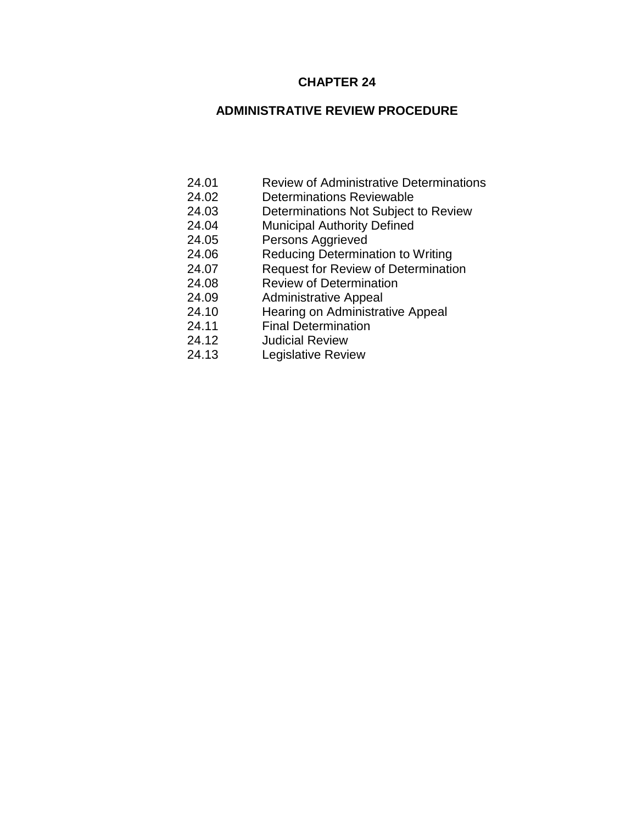# **CHAPTER 24**

# **ADMINISTRATIVE REVIEW PROCEDURE**

- 24.01 Review of Administrative Determinations
- 24.02 Determinations Reviewable
- 24.03 Determinations Not Subject to Review
- 24.04 Municipal Authority Defined
- 24.05 Persons Aggrieved
- 24.06 Reducing Determination to Writing
- 24.07 Request for Review of Determination
- 24.08 Review of Determination
- 24.09 Administrative Appeal
- 24.10 Hearing on Administrative Appeal
- 24.11 Final Determination<br>24.12 Judicial Review
	- **Judicial Review**
- 24.13 Legislative Review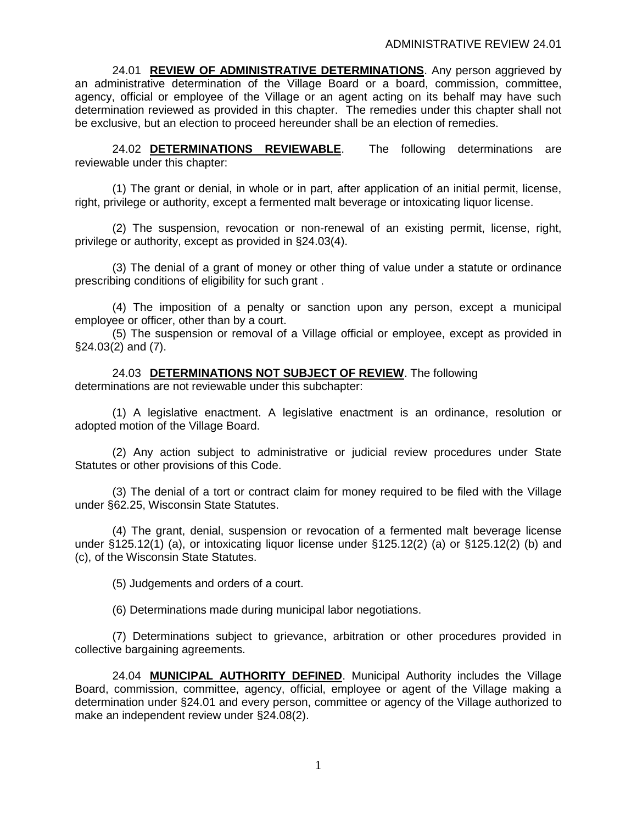24.01 **REVIEW OF ADMINISTRATIVE DETERMINATIONS**. Any person aggrieved by an administrative determination of the Village Board or a board, commission, committee, agency, official or employee of the Village or an agent acting on its behalf may have such determination reviewed as provided in this chapter. The remedies under this chapter shall not be exclusive, but an election to proceed hereunder shall be an election of remedies.

24.02 **DETERMINATIONS REVIEWABLE**. The following determinations are reviewable under this chapter:

(1) The grant or denial, in whole or in part, after application of an initial permit, license, right, privilege or authority, except a fermented malt beverage or intoxicating liquor license.

(2) The suspension, revocation or non-renewal of an existing permit, license, right, privilege or authority, except as provided in §24.03(4).

(3) The denial of a grant of money or other thing of value under a statute or ordinance prescribing conditions of eligibility for such grant .

(4) The imposition of a penalty or sanction upon any person, except a municipal employee or officer, other than by a court.

(5) The suspension or removal of a Village official or employee, except as provided in §24.03(2) and (7).

24.03 **DETERMINATIONS NOT SUBJECT OF REVIEW**. The following determinations are not reviewable under this subchapter:

(1) A legislative enactment. A legislative enactment is an ordinance, resolution or adopted motion of the Village Board.

(2) Any action subject to administrative or judicial review procedures under State Statutes or other provisions of this Code.

(3) The denial of a tort or contract claim for money required to be filed with the Village under §62.25, Wisconsin State Statutes.

(4) The grant, denial, suspension or revocation of a fermented malt beverage license under §125.12(1) (a), or intoxicating liquor license under §125.12(2) (a) or §125.12(2) (b) and (c), of the Wisconsin State Statutes.

(5) Judgements and orders of a court.

(6) Determinations made during municipal labor negotiations.

(7) Determinations subject to grievance, arbitration or other procedures provided in collective bargaining agreements.

24.04 **MUNICIPAL AUTHORITY DEFINED**. Municipal Authority includes the Village Board, commission, committee, agency, official, employee or agent of the Village making a determination under §24.01 and every person, committee or agency of the Village authorized to make an independent review under §24.08(2).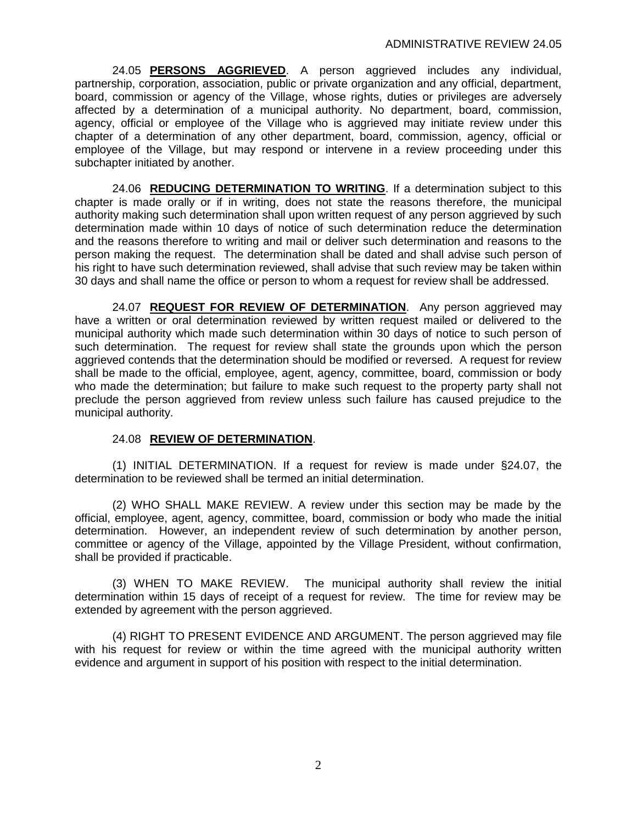24.05 **PERSONS AGGRIEVED**. A person aggrieved includes any individual, partnership, corporation, association, public or private organization and any official, department, board, commission or agency of the Village, whose rights, duties or privileges are adversely affected by a determination of a municipal authority. No department, board, commission, agency, official or employee of the Village who is aggrieved may initiate review under this chapter of a determination of any other department, board, commission, agency, official or employee of the Village, but may respond or intervene in a review proceeding under this subchapter initiated by another.

24.06 **REDUCING DETERMINATION TO WRITING**. If a determination subject to this chapter is made orally or if in writing, does not state the reasons therefore, the municipal authority making such determination shall upon written request of any person aggrieved by such determination made within 10 days of notice of such determination reduce the determination and the reasons therefore to writing and mail or deliver such determination and reasons to the person making the request. The determination shall be dated and shall advise such person of his right to have such determination reviewed, shall advise that such review may be taken within 30 days and shall name the office or person to whom a request for review shall be addressed.

24.07 **REQUEST FOR REVIEW OF DETERMINATION**. Any person aggrieved may have a written or oral determination reviewed by written request mailed or delivered to the municipal authority which made such determination within 30 days of notice to such person of such determination. The request for review shall state the grounds upon which the person aggrieved contends that the determination should be modified or reversed. A request for review shall be made to the official, employee, agent, agency, committee, board, commission or body who made the determination; but failure to make such request to the property party shall not preclude the person aggrieved from review unless such failure has caused prejudice to the municipal authority.

## 24.08 **REVIEW OF DETERMINATION**.

(1) INITIAL DETERMINATION. If a request for review is made under §24.07, the determination to be reviewed shall be termed an initial determination.

(2) WHO SHALL MAKE REVIEW. A review under this section may be made by the official, employee, agent, agency, committee, board, commission or body who made the initial determination. However, an independent review of such determination by another person, committee or agency of the Village, appointed by the Village President, without confirmation, shall be provided if practicable.

(3) WHEN TO MAKE REVIEW. The municipal authority shall review the initial determination within 15 days of receipt of a request for review. The time for review may be extended by agreement with the person aggrieved.

(4) RIGHT TO PRESENT EVIDENCE AND ARGUMENT. The person aggrieved may file with his request for review or within the time agreed with the municipal authority written evidence and argument in support of his position with respect to the initial determination.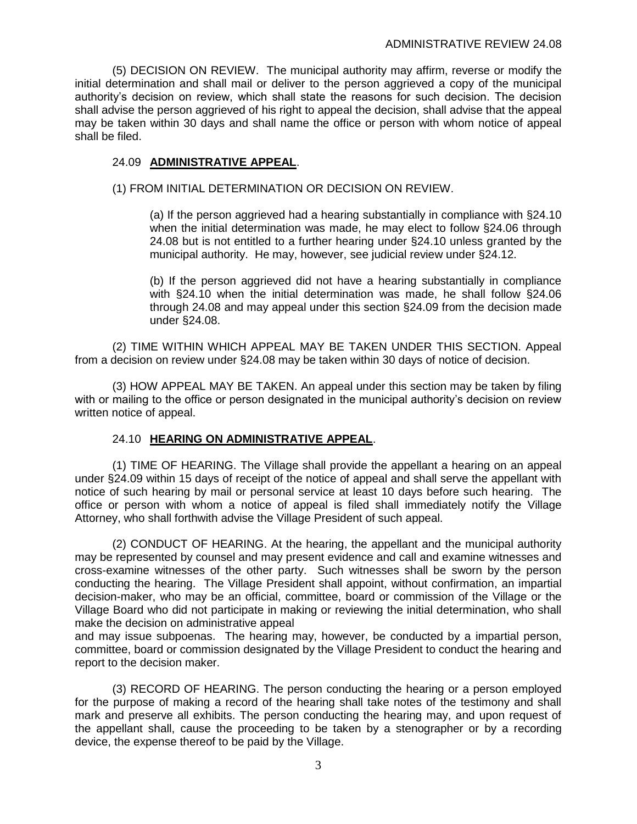(5) DECISION ON REVIEW. The municipal authority may affirm, reverse or modify the initial determination and shall mail or deliver to the person aggrieved a copy of the municipal authority's decision on review, which shall state the reasons for such decision. The decision shall advise the person aggrieved of his right to appeal the decision, shall advise that the appeal may be taken within 30 days and shall name the office or person with whom notice of appeal shall be filed.

# 24.09 **ADMINISTRATIVE APPEAL**.

# (1) FROM INITIAL DETERMINATION OR DECISION ON REVIEW.

(a) If the person aggrieved had a hearing substantially in compliance with §24.10 when the initial determination was made, he may elect to follow §24.06 through 24.08 but is not entitled to a further hearing under §24.10 unless granted by the municipal authority. He may, however, see judicial review under §24.12.

(b) If the person aggrieved did not have a hearing substantially in compliance with §24.10 when the initial determination was made, he shall follow §24.06 through 24.08 and may appeal under this section §24.09 from the decision made under §24.08.

(2) TIME WITHIN WHICH APPEAL MAY BE TAKEN UNDER THIS SECTION. Appeal from a decision on review under §24.08 may be taken within 30 days of notice of decision.

(3) HOW APPEAL MAY BE TAKEN. An appeal under this section may be taken by filing with or mailing to the office or person designated in the municipal authority's decision on review written notice of appeal.

## 24.10 **HEARING ON ADMINISTRATIVE APPEAL**.

(1) TIME OF HEARING. The Village shall provide the appellant a hearing on an appeal under §24.09 within 15 days of receipt of the notice of appeal and shall serve the appellant with notice of such hearing by mail or personal service at least 10 days before such hearing. The office or person with whom a notice of appeal is filed shall immediately notify the Village Attorney, who shall forthwith advise the Village President of such appeal.

(2) CONDUCT OF HEARING. At the hearing, the appellant and the municipal authority may be represented by counsel and may present evidence and call and examine witnesses and cross-examine witnesses of the other party. Such witnesses shall be sworn by the person conducting the hearing. The Village President shall appoint, without confirmation, an impartial decision-maker, who may be an official, committee, board or commission of the Village or the Village Board who did not participate in making or reviewing the initial determination, who shall make the decision on administrative appeal

and may issue subpoenas. The hearing may, however, be conducted by a impartial person, committee, board or commission designated by the Village President to conduct the hearing and report to the decision maker.

(3) RECORD OF HEARING. The person conducting the hearing or a person employed for the purpose of making a record of the hearing shall take notes of the testimony and shall mark and preserve all exhibits. The person conducting the hearing may, and upon request of the appellant shall, cause the proceeding to be taken by a stenographer or by a recording device, the expense thereof to be paid by the Village.